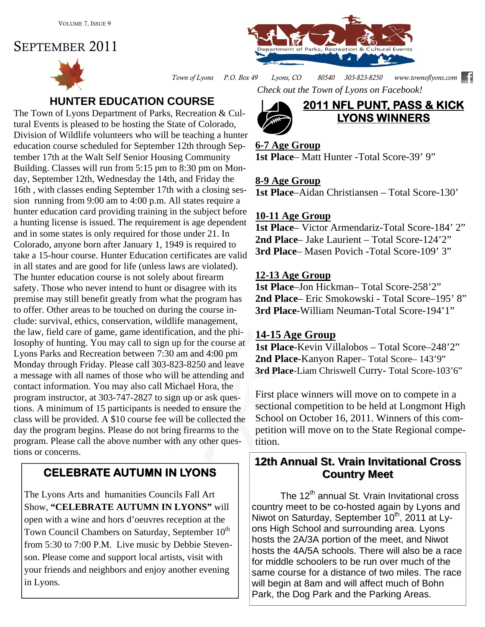# SEPTEMBER 2011





*Town of Lyons P.O. Box 49 Lyons, CO 80540 303-823-8250 www.townoflyons.com Check out the Town of Lyons on Facebook!* 

# **HUNTER EDUCATION COURSE**

The Town of Lyons Department of Parks, Recreation & Cultural Events is pleased to be hosting the State of Colorado, Division of Wildlife volunteers who will be teaching a hunter education course scheduled for September 12th through September 17th at the Walt Self Senior Housing Community Building. Classes will run from 5:15 pm to 8:30 pm on Monday, September 12th, Wednesday the 14th, and Friday the 16th , with classes ending September 17th with a closing session running from 9:00 am to 4:00 p.m. All states require a hunter education card providing training in the subject before a hunting license is issued. The requirement is age dependent and in some states is only required for those under 21. In Colorado, anyone born after January 1, 1949 is required to take a 15-hour course. Hunter Education certificates are valid in all states and are good for life (unless laws are violated). The hunter education course is not solely about firearm safety. Those who never intend to hunt or disagree with its premise may still benefit greatly from what the program has to offer. Other areas to be touched on during the course include: survival, ethics, conservation, wildlife management, the law, field care of game, game identification, and the philosophy of hunting. You may call to sign up for the course at Lyons Parks and Recreation between 7:30 am and 4:00 pm Monday through Friday. Please call 303-823-8250 and leave a message with all names of those who will be attending and contact information. You may also call Michael Hora, the program instructor, at 303-747-2827 to sign up or ask questions. A minimum of 15 participants is needed to ensure the class will be provided. A \$10 course fee will be collected the day the program begins. Please do not bring firearms to the program. Please call the above number with any other questions or concerns.

# **CELEBRATE AUTUMN IN LYONS**

The Lyons Arts and humanities Councils Fall Art Show, **"CELEBRATE AUTUMN IN LYONS"** will open with a wine and hors d'oeuvres reception at the Town Council Chambers on Saturday, September 10<sup>th</sup> from 5:30 to 7:00 P.M. Live music by Debbie Stevenson. Please come and support local artists, visit with your friends and neighbors and enjoy another evening in Lyons.



### **6-7 Age Group**

**1st Place**– Matt Hunter -Total Score-39' 9"

### **8-9 Age Group**

**1st Place**–Aidan Christiansen – Total Score-130'

### **10-11 Age Group**

**1st Place**– Victor Armendariz-Total Score-184' 2" **2nd Place**– Jake Laurient – Total Score-124'2" **3rd Place**– Masen Povich -Total Score-109' 3"

### **12-13 Age Group**

**1st Place**–Jon Hickman– Total Score-258'2" **2nd Place**– Eric Smokowski - Total Score–195' 8" **3rd Place**-William Neuman-Total Score-194'1"

### **14-15 Age Group**

**1st Place**-Kevin Villalobos – Total Score–248'2" 2nd Place-Kanyon Raper– Total Score– 143'9" 3rd Place-Liam Chriswell Curry- Total Score-103'6"

First place winners will move on to compete in a sectional competition to be held at Longmont High School on October 16, 2011. Winners of this competition will move on to the State Regional competition.

### **12th Annual St. Vrain Invitational Cross Country Meet Country Meet**

The 12<sup>th</sup> annual St. Vrain Invitational cross country meet to be co-hosted again by Lyons and Niwot on Saturday, September 10<sup>th</sup>, 2011 at Lyons High School and surrounding area. Lyons hosts the 2A/3A portion of the meet, and Niwot hosts the 4A/5A schools. There will also be a race for middle schoolers to be run over much of the same course for a distance of two miles. The race will begin at 8am and will affect much of Bohn Park, the Dog Park and the Parking Areas.